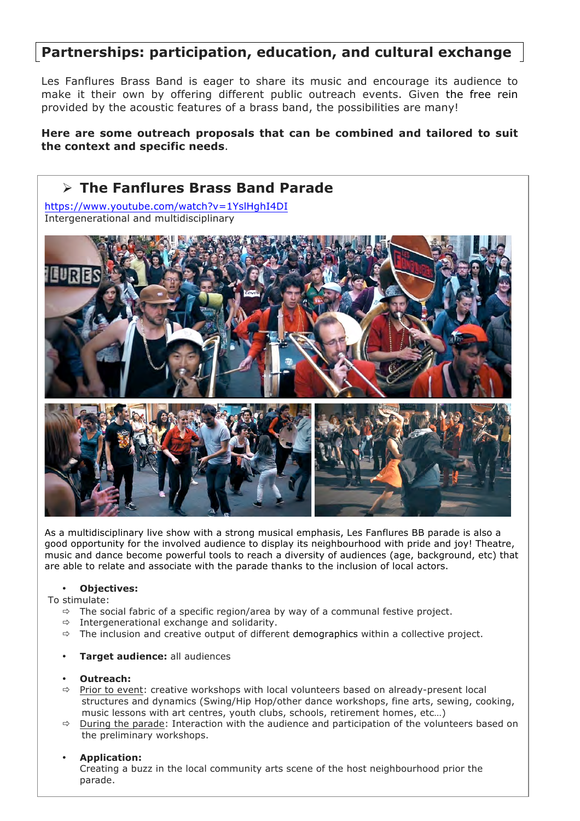## **Partnerships: participation, education, and cultural exchange**

Les Fanflures Brass Band is eager to share its music and encourage its audience to make it their own by offering different public outreach events. Given the free rein provided by the acoustic features of a brass band, the possibilities are many!

## **Here are some outreach proposals that can be combined and tailored to suit the context and specific needs**.



As a multidisciplinary live show with a strong musical emphasis, Les Fanflures BB parade is also a good opportunity for the involved audience to display its neighbourhood with pride and joy! Theatre, music and dance become powerful tools to reach a diversity of audiences (age, background, etc) that are able to relate and associate with the parade thanks to the inclusion of local actors.

#### • **Objectives:**

To stimulate:

- $\Rightarrow$  The social fabric of a specific region/area by way of a communal festive project.
- $\Rightarrow$  Intergenerational exchange and solidarity.
- $\Rightarrow$  The inclusion and creative output of different demographics within a collective project.

#### • **Target audience:** all audiences

#### • **Outreach:**

- $\Rightarrow$  Prior to event: creative workshops with local volunteers based on already-present local structures and dynamics (Swing/Hip Hop/other dance workshops, fine arts, sewing, cooking, music lessons with art centres, youth clubs, schools, retirement homes, etc…)
- $\Rightarrow$  During the parade: Interaction with the audience and participation of the volunteers based on the preliminary workshops.

### • **Application:**

Creating a buzz in the local community arts scene of the host neighbourhood prior the parade.